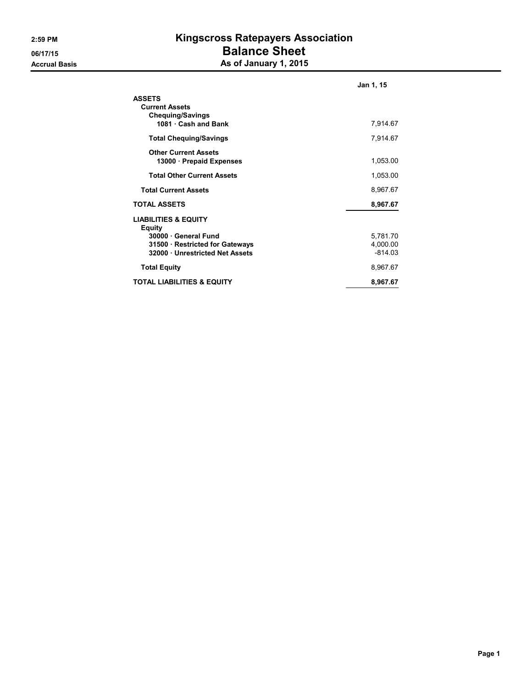## 2:59 PM Kingscross Ratepayers Association 06/17/15 Balance Sheet Accrual Basis **Accrual Basis** As of January 1, 2015

|                                                                   | Jan 1, 15             |
|-------------------------------------------------------------------|-----------------------|
| <b>ASSETS</b><br><b>Current Assets</b><br><b>Chequing/Savings</b> |                       |
| 1081 · Cash and Bank                                              | 7,914.67              |
| <b>Total Chequing/Savings</b>                                     | 7,914.67              |
| <b>Other Current Assets</b><br>13000 · Prepaid Expenses           | 1,053.00              |
| <b>Total Other Current Assets</b>                                 | 1,053.00              |
| <b>Total Current Assets</b>                                       | 8,967.67              |
| <b>TOTAL ASSETS</b>                                               | 8,967.67              |
| <b>LIABILITIES &amp; EQUITY</b><br>Equity                         |                       |
| 30000 · General Fund                                              | 5,781.70              |
| 31500 · Restricted for Gateways<br>32000 Unrestricted Net Assets  | 4,000.00<br>$-814.03$ |
| <b>Total Equity</b>                                               | 8,967.67              |
| <b>TOTAL LIABILITIES &amp; EQUITY</b>                             | 8,967.67              |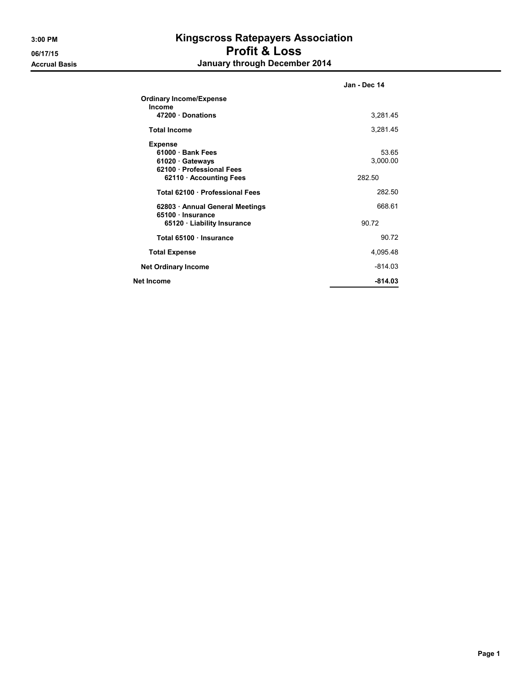## 3:00 PM Kingscross Ratepayers Association 06/17/15 **Profit & Loss** Accrual Basis **Accrual Basis January through December 2014**

|                                          | Jan - Dec 14 |
|------------------------------------------|--------------|
| <b>Ordinary Income/Expense</b><br>Income |              |
| 47200 Donations                          | 3,281.45     |
| <b>Total Income</b>                      | 3,281.45     |
| <b>Expense</b>                           |              |
| 61000 · Bank Fees                        | 53.65        |
| 61020 · Gateways                         | 3,000.00     |
| 62100 · Professional Fees                |              |
| 62110 · Accounting Fees                  | 282.50       |
| Total 62100 Professional Fees            | 282.50       |
| 62803 • Annual General Meetings          | 668.61       |
| 65100 · Insurance                        |              |
| 65120 · Liability Insurance              | 90.72        |
| Total 65100 · Insurance                  | 90 72        |
| <b>Total Expense</b>                     | 4,095.48     |
| <b>Net Ordinary Income</b>               | $-814.03$    |
| Net Income                               | $-814.03$    |